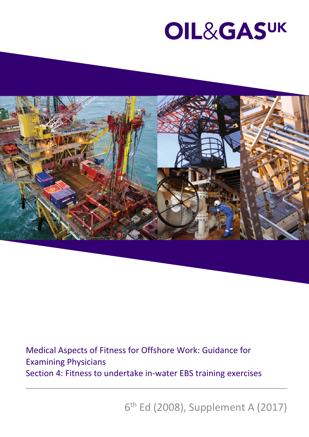

Medical Aspects of Fitness for Offshore Work: Guidance for Examining Physicians Section 4: Fitness to undertake in‐water EBS training exercises

6th Ed (2008), Supplement A (2017)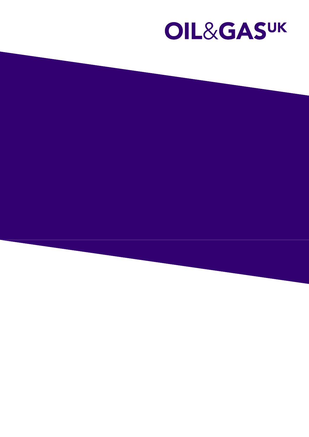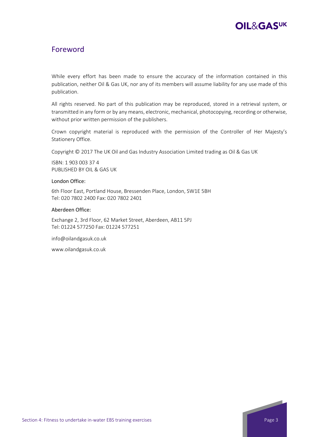

### Foreword

While every effort has been made to ensure the accuracy of the information contained in this publication, neither Oil & Gas UK, nor any of its members will assume liability for any use made of this publication.

All rights reserved. No part of this publication may be reproduced, stored in a retrieval system, or transmitted in any form or by any means, electronic, mechanical, photocopying, recording or otherwise, without prior written permission of the publishers.

Crown copyright material is reproduced with the permission of the Controller of Her Majesty's Stationery Office.

Copyright © 2017 The UK Oil and Gas Industry Association Limited trading as Oil & Gas UK

ISBN: 1 903 003 37 4 PUBLISHED BY OIL & GAS UK

#### London Office:

6th Floor East, Portland House, Bressenden Place, London, SW1E 5BH Tel: 020 7802 2400 Fax: 020 7802 2401

#### Aberdeen Office:

Exchange 2, 3rd Floor, 62 Market Street, Aberdeen, AB11 5PJ Tel: 01224 577250 Fax: 01224 577251

info@oilandgasuk.co.uk

www.oilandgasuk.co.uk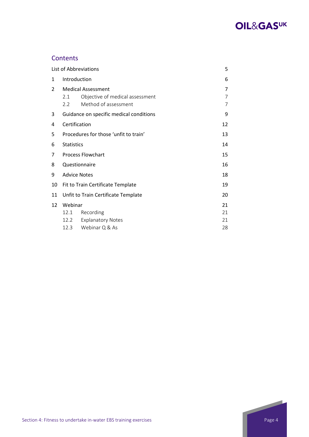

### **Contents**

|                | List of Abbreviations                                                                                        |                                         |    |  |  |
|----------------|--------------------------------------------------------------------------------------------------------------|-----------------------------------------|----|--|--|
| 1              | Introduction                                                                                                 |                                         |    |  |  |
| $\overline{2}$ | <b>Medical Assessment</b><br>Objective of medical assessment<br>2.1<br>Method of assessment<br>$2.2^{\circ}$ |                                         |    |  |  |
| 3              |                                                                                                              | Guidance on specific medical conditions | 9  |  |  |
| 4              | Certification                                                                                                |                                         | 12 |  |  |
| 5              |                                                                                                              | Procedures for those 'unfit to train'   | 13 |  |  |
| 6              | <b>Statistics</b>                                                                                            |                                         | 14 |  |  |
| 7              |                                                                                                              | <b>Process Flowchart</b>                | 15 |  |  |
| 8              |                                                                                                              | Questionnaire                           | 16 |  |  |
| 9              | <b>Advice Notes</b>                                                                                          |                                         | 18 |  |  |
| 10             |                                                                                                              | Fit to Train Certificate Template       | 19 |  |  |
| 11             | Unfit to Train Certificate Template                                                                          |                                         |    |  |  |
| 12             | Webinar                                                                                                      |                                         | 21 |  |  |
|                | 12.1                                                                                                         | Recording                               | 21 |  |  |
|                | 12.2                                                                                                         | <b>Explanatory Notes</b>                | 21 |  |  |
|                | 12.3                                                                                                         | Webinar Q & As                          | 28 |  |  |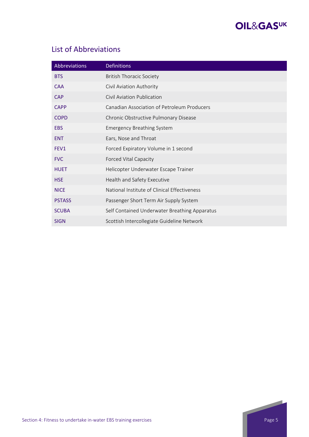

# List of Abbreviations

| Abbreviations    | <b>Definitions</b>                            |
|------------------|-----------------------------------------------|
| <b>BTS</b>       | <b>British Thoracic Society</b>               |
| <b>CAA</b>       | Civil Aviation Authority                      |
| <b>CAP</b>       | Civil Aviation Publication                    |
| <b>CAPP</b>      | Canadian Association of Petroleum Producers   |
| <b>COPD</b>      | Chronic Obstructive Pulmonary Disease         |
| <b>EBS</b>       | <b>Emergency Breathing System</b>             |
| <b>ENT</b>       | Ears, Nose and Throat                         |
| FEV <sub>1</sub> | Forced Expiratory Volume in 1 second          |
| <b>FVC</b>       | <b>Forced Vital Capacity</b>                  |
| <b>HUET</b>      | Helicopter Underwater Escape Trainer          |
| <b>HSE</b>       | Health and Safety Executive                   |
| <b>NICE</b>      | National Institute of Clinical Effectiveness  |
| <b>PSTASS</b>    | Passenger Short Term Air Supply System        |
| <b>SCUBA</b>     | Self Contained Underwater Breathing Apparatus |
| <b>SIGN</b>      | Scottish Intercollegiate Guideline Network    |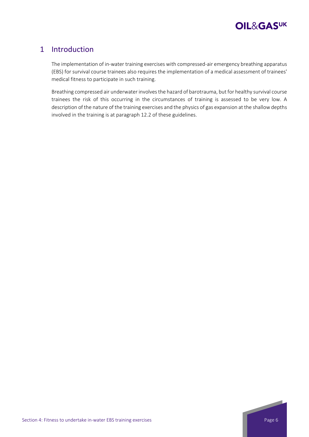

### 1 Introduction

The implementation of in‐water training exercises with compressed‐air emergency breathing apparatus (EBS) for survival course trainees also requires the implementation of a medical assessment of trainees' medical fitness to participate in such training.

Breathing compressed air underwater involves the hazard of barotrauma, but for healthy survival course trainees the risk of this occurring in the circumstances of training is assessed to be very low. A description of the nature of the training exercises and the physics of gas expansion at the shallow depths involved in the training is at paragraph 12.2 of these guidelines.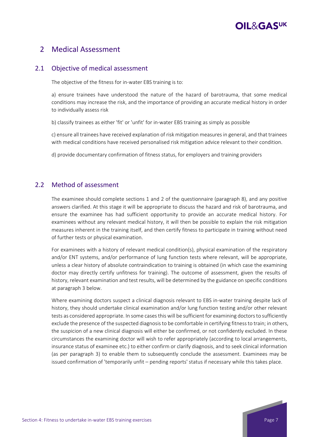### 2 Medical Assessment

### 2.1 Objective of medical assessment

The objective of the fitness for in‐water EBS training is to:

a) ensure trainees have understood the nature of the hazard of barotrauma, that some medical conditions may increase the risk, and the importance of providing an accurate medical history in order to individually assess risk

b) classify trainees as either 'fit' or 'unfit' for in‐water EBS training as simply as possible

c) ensure all trainees have received explanation of risk mitigation measures in general, and that trainees with medical conditions have received personalised risk mitigation advice relevant to their condition.

d) provide documentary confirmation of fitness status, for employers and training providers

### 2.2 Method of assessment

The examinee should complete sections 1 and 2 of the questionnaire (paragraph 8), and any positive answers clarified. At this stage it will be appropriate to discuss the hazard and risk of barotrauma, and ensure the examinee has had sufficient opportunity to provide an accurate medical history. For examinees without any relevant medical history, it will then be possible to explain the risk mitigation measures inherent in the training itself, and then certify fitness to participate in training without need of further tests or physical examination.

For examinees with a history of relevant medical condition(s), physical examination of the respiratory and/or ENT systems, and/or performance of lung function tests where relevant, will be appropriate, unless a clear history of absolute contraindication to training is obtained (in which case the examining doctor may directly certify unfitness for training). The outcome of assessment, given the results of history, relevant examination and test results, will be determined by the guidance on specific conditions at paragraph 3 below.

Where examining doctors suspect a clinical diagnosis relevant to EBS in-water training despite lack of history, they should undertake clinical examination and/or lung function testing and/or other relevant tests as considered appropriate. In some cases this will be sufficient for examining doctors to sufficiently exclude the presence of the suspected diagnosisto be comfortable in certifying fitnessto train; in others, the suspicion of a new clinical diagnosis will either be confirmed, or not confidently excluded. In these circumstances the examining doctor will wish to refer appropriately (according to local arrangements, insurance status of examinee etc.) to either confirm or clarify diagnosis, and to seek clinical information (as per paragraph 3) to enable them to subsequently conclude the assessment. Examinees may be issued confirmation of 'temporarily unfit – pending reports' status if necessary while this takes place.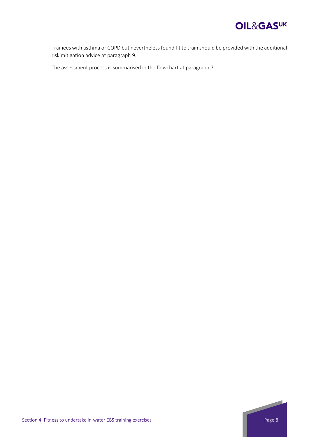

Trainees with asthma or COPD but neverthelessfound fit to train should be provided with the additional risk mitigation advice at paragraph 9.

The assessment process is summarised in the flowchart at paragraph 7.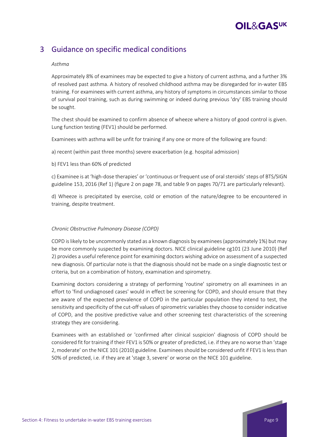### 3 Guidance on specific medical conditions

### *Asthma*

Approximately 8% of examinees may be expected to give a history of current asthma, and a further 3% of resolved past asthma. A history of resolved childhood asthma may be disregarded for in‐water EBS training. For examinees with current asthma, any history of symptoms in circumstances similar to those of survival pool training, such as during swimming or indeed during previous 'dry' EBS training should be sought.

The chest should be examined to confirm absence of wheeze where a history of good control is given. Lung function testing (FEV1) should be performed.

Examinees with asthma will be unfit for training if any one or more of the following are found:

a) recent (within past three months) severe exacerbation (e.g. hospital admission)

b) FEV1 less than 60% of predicted

c) Examinee is at 'high-dose therapies' or 'continuous or frequent use of oral steroids' steps of BTS/SIGN guideline 153, 2016 (Ref 1) (figure 2 on page 78, and table 9 on pages 70/71 are particularly relevant).

d) Wheeze is precipitated by exercise, cold or emotion of the nature/degree to be encountered in training, despite treatment.

### *Chronic Obstructive Pulmonary Disease (COPD)*

COPD islikely to be uncommonly stated as a known diagnosis by examinees(approximately 1%) but may be more commonly suspected by examining doctors. NICE clinical guideline cg101 (23 June 2010) (Ref 2) provides a useful reference point for examining doctors wishing advice on assessment of a suspected new diagnosis. Of particular note is that the diagnosis should not be made on a single diagnostic test or criteria, but on a combination of history, examination and spirometry.

Examining doctors considering a strategy of performing 'routine' spirometry on all examinees in an effort to 'find undiagnosed cases' would in effect be screening for COPD, and should ensure that they are aware of the expected prevalence of COPD in the particular population they intend to test, the sensitivity and specificity of the cut-off values of spirometric variables they choose to consider indicative of COPD, and the positive predictive value and other screening test characteristics of the screening strategy they are considering.

Examinees with an established or 'confirmed after clinical suspicion' diagnosis of COPD should be considered fit for training if their FEV1 is 50% or greater of predicted, i.e. if they are no worse than 'stage 2, moderate' on the NICE 101 (2010) guideline. Examinees should be considered unfit if FEV1 is less than 50% of predicted, i.e. if they are at 'stage 3, severe' or worse on the NICE 101 guideline.

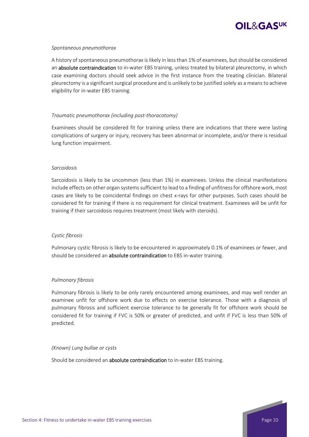

#### *Spontaneous pneumothorax*

A history of spontaneous pneumothorax is likely in lessthan 1% of examinees, butshould be considered an **absolute contraindication** to in-water EBS training, unless treated by bilateral pleurectomy, in which case examining doctors should seek advice in the first instance from the treating clinician. Bilateral pleurectomy is a significant surgical procedure and is unlikely to be justified solely as a means to achieve eligibility for in‐water EBS training.

### *Traumatic pneumothorax (including post‐thoracotomy)*

Examinees should be considered fit for training unless there are indications that there were lasting complications of surgery or injury, recovery has been abnormal or incomplete, and/or there is residual lung function impairment.

#### *Sarcoidosis*

Sarcoidosis is likely to be uncommon (less than 1%) in examinees. Unless the clinical manifestations include effects on other organ systemssufficient to lead to a finding of unfitnessfor offshore work, most cases are likely to be coincidental findings on chest x‐rays for other purposes. Such cases should be considered fit for training if there is no requirement for clinical treatment. Examinees will be unfit for training if their sarcoidosis requires treatment (most likely with steroids).

#### *Cystic fibrosis*

Pulmonary cystic fibrosis is likely to be encountered in approximately 0.1% of examinees or fewer, and should be considered an absolute contraindication to EBS in-water training.

#### *Pulmonary fibrosis*

Pulmonary fibrosis is likely to be only rarely encountered among examinees, and may well render an examinee unfit for offshore work due to effects on exercise tolerance. Those with a diagnosis of pulmonary fibrosis and sufficient exercise tolerance to be generally fit for offshore work should be considered fit for training if FVC is 50% or greater of predicted, and unfit if FVC is less than 50% of predicted.

#### *(Known) Lung bullae or cysts*

Should be considered an absolute contraindication to in-water EBS training.

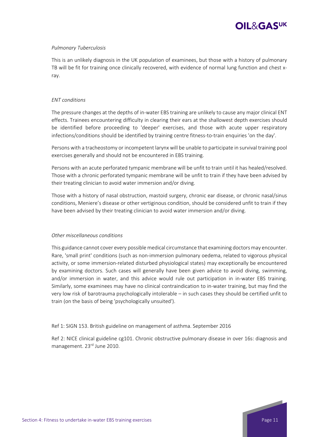

### *Pulmonary Tuberculosis*

This is an unlikely diagnosis in the UK population of examinees, but those with a history of pulmonary TB will be fit for training once clinically recovered, with evidence of normal lung function and chest x‐ ray.

#### *ENT conditions*

The pressure changes at the depths of in-water EBS training are unlikely to cause any major clinical ENT effects. Trainees encountering difficulty in clearing their ears at the shallowest depth exercises should be identified before proceeding to 'deeper' exercises, and those with acute upper respiratory infections/conditions should be identified by training centre fitness-to-train enquiries 'on the day'.

Persons with a tracheostomy or incompetent larynx will be unable to participate in survival training pool exercises generally and should not be encountered in EBS training.

Persons with an acute perforated tympanic membrane will be unfit to train until it has healed/resolved. Those with a chronic perforated tympanic membrane will be unfit to train if they have been advised by their treating clinician to avoid water immersion and/or diving.

Those with a history of nasal obstruction, mastoid surgery, chronic ear disease, or chronic nasal/sinus conditions, Meniere's disease or other vertiginous condition, should be considered unfit to train if they have been advised by their treating clinician to avoid water immersion and/or diving.

#### *Other miscellaneous conditions*

This guidance cannot cover every possible medical circumstance that examining doctors may encounter. Rare, 'small print' conditions (such as non-immersion pulmonary oedema, related to vigorous physical activity, or some immersion-related disturbed physiological states) may exceptionally be encountered by examining doctors. Such cases will generally have been given advice to avoid diving, swimming, and/or immersion in water, and this advice would rule out participation in in-water EBS training. Similarly, some examinees may have no clinical contraindication to in‐water training, but may find the very low risk of barotrauma psychologically intolerable – in such cases they should be certified unfit to train (on the basis of being 'psychologically unsuited').

#### Ref 1: SIGN 153. British guideline on management of asthma. September 2016

Ref 2: NICE clinical guideline cg101. Chronic obstructive pulmonary disease in over 16s: diagnosis and management. 23<sup>rd</sup> June 2010.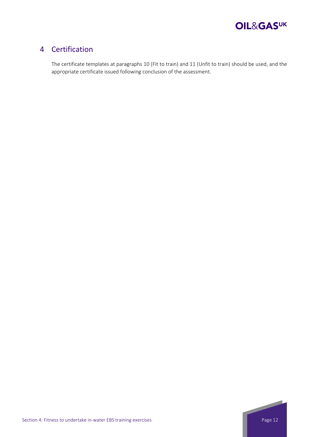

### 4 Certification

The certificate templates at paragraphs 10 (Fit to train) and 11 (Unfit to train) should be used, and the appropriate certificate issued following conclusion of the assessment.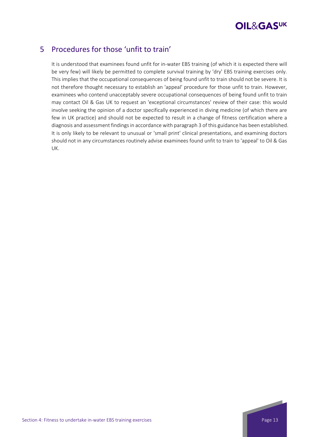

### 5 Procedures for those 'unfit to train'

It is understood that examinees found unfit for in-water EBS training (of which it is expected there will be very few) will likely be permitted to complete survival training by 'dry' EBS training exercises only. This implies that the occupational consequences of being found unfit to train should not be severe. It is not therefore thought necessary to establish an 'appeal' procedure for those unfit to train. However, examinees who contend unacceptably severe occupational consequences of being found unfit to train may contact Oil & Gas UK to request an 'exceptional circumstances' review of their case: this would involve seeking the opinion of a doctor specifically experienced in diving medicine (of which there are few in UK practice) and should not be expected to result in a change of fitness certification where a diagnosis and assessment findings in accordance with paragraph 3 of this guidance has been established. It is only likely to be relevant to unusual or 'small print' clinical presentations, and examining doctors should not in any circumstances routinely advise examinees found unfit to train to 'appeal' to Oil & Gas UK.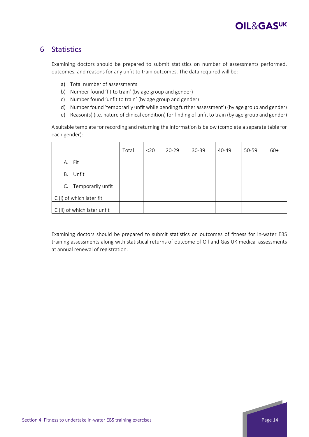

### 6 Statistics

Examining doctors should be prepared to submit statistics on number of assessments performed, outcomes, and reasons for any unfit to train outcomes. The data required will be:

- a) Total number of assessments
- b) Number found 'fit to train' (by age group and gender)
- c) Number found 'unfit to train' (by age group and gender)
- d) Number found 'temporarily unfit while pending further assessment') (by age group and gender)
- e) Reason(s) (i.e. nature of clinical condition) for finding of unfit to train (by age group and gender)

A suitable template for recording and returning the information is below (complete a separate table for each gender):

|                             | Total | $20$ | $20 - 29$ | 30-39 | 40-49 | 50-59 | $60+$ |
|-----------------------------|-------|------|-----------|-------|-------|-------|-------|
| A. Fit                      |       |      |           |       |       |       |       |
| Unfit<br>В.                 |       |      |           |       |       |       |       |
| C. Temporarily unfit        |       |      |           |       |       |       |       |
| C (i) of which later fit    |       |      |           |       |       |       |       |
| C (ii) of which later unfit |       |      |           |       |       |       |       |

Examining doctors should be prepared to submit statistics on outcomes of fitness for in‐water EBS training assessments along with statistical returns of outcome of Oil and Gas UK medical assessments at annual renewal of registration.

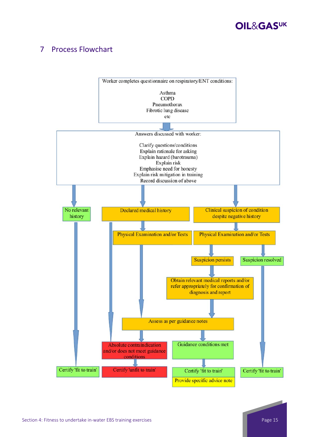

## 7 Process Flowchart

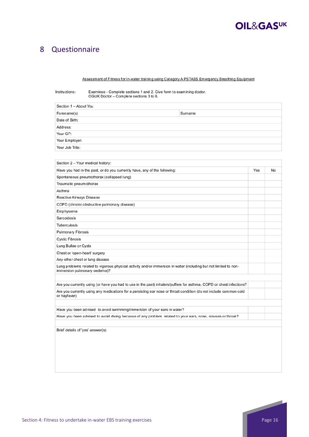

### 8 Questionnaire

#### Assessment of Fitness for in-water training using Category A PSTASS Emergency Breathing Equipment

Instructions: Examinee - Complete sections 1 and 2. Give form to examining doctor. OGUK Doctor - Complete sections 3 to 6.

| Section 1 - About You |        |  |  |  |  |  |
|-----------------------|--------|--|--|--|--|--|
| Forename(s)           | Sumame |  |  |  |  |  |
| Date of Birth:        |        |  |  |  |  |  |
| Address:              |        |  |  |  |  |  |
| Your GP:              |        |  |  |  |  |  |
| Your Employer:        |        |  |  |  |  |  |
| Your Job Title:       |        |  |  |  |  |  |

| Section 2 - Your medical history:                                                                                                                |     |    |
|--------------------------------------------------------------------------------------------------------------------------------------------------|-----|----|
|                                                                                                                                                  |     |    |
| Have you had in the past, or do you currently have, any of the following:                                                                        | Yes | No |
| Spontaneous pneumothorax (collapsed lung)                                                                                                        |     |    |
| Traumatic pneumothorax                                                                                                                           |     |    |
| Asthma                                                                                                                                           |     |    |
| Reactive Airways Disease                                                                                                                         |     |    |
| COPD (chronic obstructive pulmonary disease)                                                                                                     |     |    |
| Emphysema                                                                                                                                        |     |    |
| Sarcoidosis                                                                                                                                      |     |    |
| <b>Tuberculosis</b>                                                                                                                              |     |    |
| Pulmonary Fibrosis                                                                                                                               |     |    |
| <b>Cystic Fibrosis</b>                                                                                                                           |     |    |
| Lung Bullae or Cysts                                                                                                                             |     |    |
| Chest or 'open-heart' surgery                                                                                                                    |     |    |
| Any other chest or lung disease                                                                                                                  |     |    |
| Lung problems related to vigorous physical activity and/or immersion in water (including but not limited to non-<br>immersion pulmonary oedema)? |     |    |
|                                                                                                                                                  |     |    |
| Are you currently using (or have you had to use in the past) inhalers/puffers for asthma, COPD or chest infections?                              |     |    |
| Are you currently using any medications for a persisting ear nose or throat condition (do not include common cold<br>or hayfever)                |     |    |
|                                                                                                                                                  |     |    |
| Have you been advised to avoid swimming/immersion of your ears in water?                                                                         |     |    |
| Have you been advised to avoid diving because of any problem related to your ears, nose, sinuses or throat?                                      |     |    |
|                                                                                                                                                  |     |    |
| Brief details of 'yes' answer(s):                                                                                                                |     |    |
|                                                                                                                                                  |     |    |
|                                                                                                                                                  |     |    |
|                                                                                                                                                  |     |    |
|                                                                                                                                                  |     |    |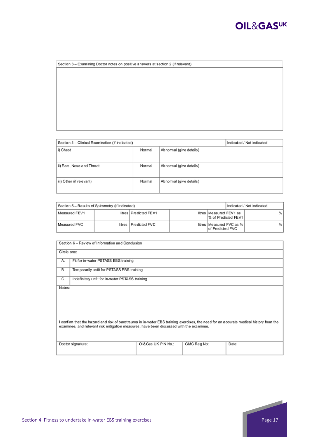

| Section 3 - Examining Doctor notes on positive answers at section 2 (if relevant) |  |  |  |  |  |  |
|-----------------------------------------------------------------------------------|--|--|--|--|--|--|
|                                                                                   |  |  |  |  |  |  |
|                                                                                   |  |  |  |  |  |  |
|                                                                                   |  |  |  |  |  |  |
|                                                                                   |  |  |  |  |  |  |
|                                                                                   |  |  |  |  |  |  |
|                                                                                   |  |  |  |  |  |  |
|                                                                                   |  |  |  |  |  |  |
|                                                                                   |  |  |  |  |  |  |
|                                                                                   |  |  |  |  |  |  |
|                                                                                   |  |  |  |  |  |  |

| Section 4 - Clinical Examination (if indicated) | Indicated / Not indicated |                        |  |
|-------------------------------------------------|---------------------------|------------------------|--|
| i) Chest                                        | Normal                    | Abnomal (give details) |  |
| ii) Ears, Nose and Throat                       | Normal                    | Abnomal (give details) |  |
| iii) Other (if relevant)                        | Normal                    | Abnomal (give details) |  |

| Section 5 - Results of Spirometry (if indicated) |  |                         |  |                                                  | Indicated / Not indicated |   |
|--------------------------------------------------|--|-------------------------|--|--------------------------------------------------|---------------------------|---|
| Measured FEV1                                    |  | litres   Predicted FEV1 |  | litres   Measured FEV1 as<br>% of Predicted FEV1 |                           | % |
| Measured FVC                                     |  | litres Predicted FVC    |  | litres   Measured FVC as %<br>of Predicted FVC   |                           | % |

| Section 6 - Review of Information and Conclusion                                                                                                                                                                                            |                                                 |                      |             |       |  |  |  |  |  |
|---------------------------------------------------------------------------------------------------------------------------------------------------------------------------------------------------------------------------------------------|-------------------------------------------------|----------------------|-------------|-------|--|--|--|--|--|
|                                                                                                                                                                                                                                             | Circle one:                                     |                      |             |       |  |  |  |  |  |
| Α.                                                                                                                                                                                                                                          | Fit for in-water PSTASS EBS training            |                      |             |       |  |  |  |  |  |
| В.                                                                                                                                                                                                                                          | Temporarily unfit for PSTASS EBS training       |                      |             |       |  |  |  |  |  |
| C.                                                                                                                                                                                                                                          | Indefinitely unfit for in-water PSTASS training |                      |             |       |  |  |  |  |  |
| Notes:<br>I confirm that the hazard and risk of barotrauma in in-water EBS training exercises, the need for an accurate medical history from the<br>examinee, and relevant risk mitigation measures, have been discussed with the examinee. |                                                 |                      |             |       |  |  |  |  |  |
|                                                                                                                                                                                                                                             | Doctor signature:                               | Oil& Gas UK PIN No.: | GMC Reg No: | Date: |  |  |  |  |  |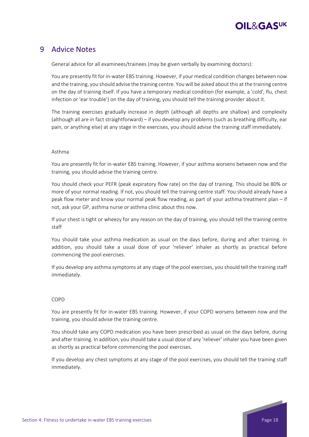

### 9 Advice Notes

General advice for all examinees/trainees (may be given verbally by examining doctors):

You are presently fit for in-water EBS training. However, if your medical condition changes between now and the training, you should advise the training centre. You will be asked about this at the training centre on the day of training itself. If you have a temporary medical condition (for example, a 'cold', flu, chest infection or 'ear trouble') on the day of training, you should tell the training provider about it.

The training exercises gradually increase in depth (although all depths are shallow) and complexity (although all are in fact straightforward) – if you develop any problems (such as breathing difficulty, ear pain, or anything else) at any stage in the exercises, you should advise the training staff immediately.

### Asthma

You are presently fit for in‐water EBS training. However, if your asthma worsens between now and the training, you should advise the training centre.

You should check your PEFR (peak expiratory flow rate) on the day of training. This should be 80% or more of your normal reading. If not, you should tell the training centre staff. You should already have a peak flow meter and know your normal peak flow reading, as part of your asthma treatment plan – if not, ask your GP, asthma nurse or asthma clinic about this now.

If your chest is tight or wheezy for any reason on the day of training, you should tell the training centre staff

You should take your asthma medication as usual on the days before, during and after training. In addition, you should take a usual dose of your 'reliever' inhaler as shortly as practical before commencing the pool exercises.

If you develop any asthma symptoms at any stage of the pool exercises, you should tell the training staff immediately.

### COPD

You are presently fit for in‐water EBS training. However, if your COPD worsens between now and the training, you should advise the training centre.

You should take any COPD medication you have been prescribed as usual on the days before, during and after training. In addition, you should take a usual dose of any 'reliever' inhaler you have been given as shortly as practical before commencing the pool exercises.

If you develop any chest symptoms at any stage of the pool exercises, you should tell the training staff immediately.

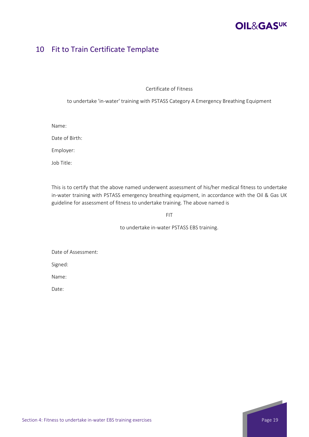### 10 Fit to Train Certificate Template

Certificate of Fitness

to undertake 'in‐water' training with PSTASS Category A Emergency Breathing Equipment

Name:

Date of Birth:

Employer:

Job Title:

This is to certify that the above named underwent assessment of his/her medical fitness to undertake in-water training with PSTASS emergency breathing equipment, in accordance with the Oil & Gas UK guideline for assessment of fitness to undertake training. The above named is

FIT

to undertake in‐water PSTASS EBS training.

Date of Assessment:

Signed:

Name:

Date: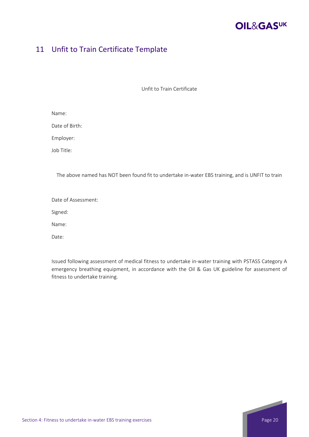

### 11 Unfit to Train Certificate Template

Unfit to Train Certificate

Date of Birth:

Employer:

Job Title:

The above named has NOT been found fit to undertake in-water EBS training, and is UNFIT to train

Date of Assessment:

Signed:

Name:

Date:

Issued following assessment of medical fitness to undertake in‐water training with PSTASS Category A emergency breathing equipment, in accordance with the Oil & Gas UK guideline for assessment of fitness to undertake training.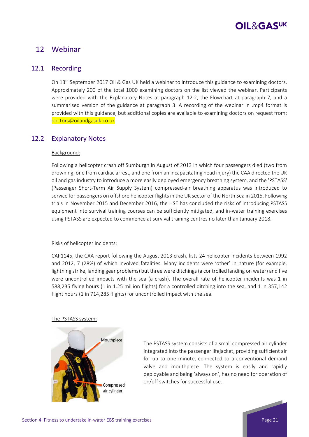### 12 Webinar

### 12.1 Recording

On 13<sup>th</sup> September 2017 Oil & Gas UK held a webinar to introduce this guidance to examining doctors. Approximately 200 of the total 1000 examining doctors on the list viewed the webinar. Participants were provided with the Explanatory Notes at paragraph 12.2, the Flowchart at paragraph 7, and a summarised version of the guidance at paragraph 3. A recording of the webinar in .mp4 format is provided with this guidance, but additional copies are available to examining doctors on request from: doctors@oilandgasuk.co.uk

### 12.2 Explanatory Notes

### Background:

Following a helicopter crash off Sumburgh in August of 2013 in which four passengers died (two from drowning, one from cardiac arrest, and one from an incapacitating head injury) the CAA directed the UK oil and gas industry to introduce a more easily deployed emergency breathing system, and the 'PSTASS' (Passenger Short‐Term Air Supply System) compressed‐air breathing apparatus was introduced to service for passengers on offshore helicopter flights in the UK sector of the North Sea in 2015. Following trials in November 2015 and December 2016, the HSE has concluded the risks of introducing PSTASS equipment into survival training courses can be sufficiently mitigated, and in‐water training exercises using PSTASS are expected to commence at survival training centres no later than January 2018.

### Risks of helicopter incidents:

CAP1145, the CAA report following the August 2013 crash, lists 24 helicopter incidents between 1992 and 2012, 7 (28%) of which involved fatalities. Many incidents were 'other' in nature (for example, lightning strike, landing gear problems) but three were ditchings(a controlled landing on water) and five were uncontrolled impacts with the sea (a crash). The overall rate of helicopter incidents was 1 in 588,235 flying hours (1 in 1.25 million flights) for a controlled ditching into the sea, and 1 in 357,142 flight hours (1 in 714,285 flights) for uncontrolled impact with the sea.

### The PSTASS system:



The PSTASS system consists of a small compressed air cylinder integrated into the passenger lifejacket, providing sufficient air for up to one minute, connected to a conventional demand valve and mouthpiece. The system is easily and rapidly deployable and being 'always on', has no need for operation of on/off switches for successful use.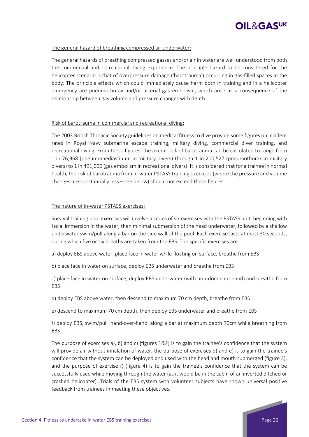

### The general hazard of breathing compressed air underwater:

The general hazards of breathing compressed gasses and/or air in water are well understood from both the commercial and recreational diving experience. The principle hazard to be considered for the helicopter scenario is that of overpressure damage ('barotrauma') occurring in gas-filled spaces in the body. The principle effects which could immediately cause harm both in training and in a helicopter emergency are pneumothorax and/or arterial gas embolism, which arise as a consequence of the relationship between gas volume and pressure changes with depth.

### Risk of barotrauma in commercial and recreational diving:

The 2003 British Thoracic Society guidelines on medical fitness to dive provide some figures on incident rates in Royal Navy submarine escape training, military diving, commercial diver training, and recreational diving. From these figures, the overall risk of barotrauma can be calculated to range from 1 in 76,968 (pneumomediastinum in military divers) through 1 in 200,527 (pneumothorax in military divers) to 1 in 491,000 (gas embolism in recreational divers). It is considered that for a trainee in normal health, the risk of barotrauma from in-water PSTASS training exercises (where the pressure and volume changes are substantially less – see below) should not exceed these figures.

### The nature of in‐water PSTASS exercises:

Survival training pool exercises will involve a series of six exercises with the PSTASS unit, beginning with facial immersion in the water, then minimal submersion of the head underwater, followed by a shallow underwater swim/pull along a bar on the side wall of the pool. Each exercise lasts at most 30 seconds, during which five or six breaths are taken from the EBS. The specific exercises are:

- a) deploy EBS above water, place face in water while floating on surface, breathe from EBS
- b) place face in water on surface, deploy EBS underwater and breathe from EBS

c) place face in water on surface, deploy EBS underwater (with non‐dominant hand) and breathe from EBS

- d) deploy EBS above water, then descend to maximum 70 cm depth, breathe from EBS
- e) descend to maximum 70 cm depth, then deploy EBS underwater and breathe from EBS

f) deploy EBS, swim/pull 'hand‐over‐hand' along a bar at maximum depth 70cm while breathing from EBS

The purpose of exercises a), b) and c) [figures 1&2] is to gain the trainee's confidence that the system will provide air without inhalation of water; the purpose of exercises d) and e) is to gain the trainee's confidence that the system can be deployed and used with the head and mouth submerged (figure 3), and the purpose of exercise f) (figure 4) is to gain the trainee's confidence that the system can be successfully used while moving through the water (as it would be in the cabin of an inverted ditched or crashed helicopter). Trials of the EBS system with volunteer subjects have shown universal positive feedback from trainees in meeting these objectives.

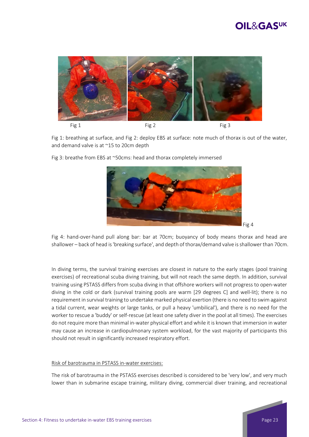

Fig 1: breathing at surface, and Fig 2: deploy EBS at surface: note much of thorax is out of the water, and demand valve is at ~15 to 20cm depth

Fig 3: breathe from EBS at ~50cms: head and thorax completely immersed



Fig 4: hand‐over‐hand pull along bar: bar at 70cm; buoyancy of body means thorax and head are shallower – back of head is'breaking surface', and depth of thorax/demand valve isshallower than 70cm.

In diving terms, the survival training exercises are closest in nature to the early stages (pool training exercises) of recreational scuba diving training, but will not reach the same depth. In addition, survival training using PSTASS differs from scuba diving in that offshore workers will not progress to open‐water diving in the cold or dark (survival training pools are warm [29 degrees C] and well‐lit); there is no requirement in survival training to undertake marked physical exertion (there is no need to swim against a tidal current, wear weights or large tanks, or pull a heavy 'umbilical'), and there is no need for the worker to rescue a 'buddy' or self-rescue (at least one safety diver in the pool at all times). The exercises do not require more than minimal in‐water physical effort and while it is known that immersion in water may cause an increase in cardiopulmonary system workload, for the vast majority of participants this should not result in significantly increased respiratory effort.

### Risk of barotrauma in PSTASS in‐water exercises:

The risk of barotrauma in the PSTASS exercises described is considered to be 'very low', and very much lower than in submarine escape training, military diving, commercial diver training, and recreational

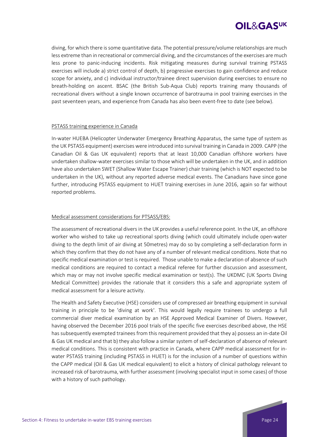

diving, for which there is some quantitative data. The potential pressure/volume relationships are much less extreme than in recreational or commercial diving, and the circumstances of the exercises are much less prone to panic-inducing incidents. Risk mitigating measures during survival training PSTASS exercises will include a) strict control of depth, b) progressive exercises to gain confidence and reduce scope for anxiety, and c) individual instructor/trainee direct supervision during exercises to ensure no breath-holding on ascent. BSAC (the British Sub-Aqua Club) reports training many thousands of recreational divers without a single known occurrence of barotrauma in pool training exercises in the past seventeen years, and experience from Canada has also been event-free to date (see below).

### PSTASS training experience in Canada

In-water HUEBA (Helicopter Underwater Emergency Breathing Apparatus, the same type of system as the UK PSTASS equipment) exercises were introduced into survival training in Canada in 2009. CAPP (the Canadian Oil & Gas UK equivalent) reports that at least 10,000 Canadian offshore workers have undertaken shallow‐water exercises similar to those which will be undertaken in the UK, and in addition have also undertaken SWET (Shallow Water Escape Trainer) chair training (which is NOT expected to be undertaken in the UK), without any reported adverse medical events. The Canadians have since gone further, introducing PSTASS equipment to HUET training exercises in June 2016, again so far without reported problems.

### Medical assessment considerations for PTSASS/EBS:

The assessment of recreational divers in the UK provides a useful reference point. In the UK, an offshore worker who wished to take up recreational sports diving (which could ultimately include open-water diving to the depth limit of air diving at 50metres) may do so by completing a self‐declaration form in which they confirm that they do not have any of a number of relevant medical conditions. Note that no specific medical examination or test is required. Those unable to make a declaration of absence of such medical conditions are required to contact a medical referee for further discussion and assessment, which may or may not involve specific medical examination or test(s). The UKDMC (UK Sports Diving Medical Committee) provides the rationale that it considers this a safe and appropriate system of medical assessment for a leisure activity.

The Health and Safety Executive (HSE) considers use of compressed air breathing equipment in survival training in principle to be 'diving at work'. This would legally require trainees to undergo a full commercial diver medical examination by an HSE Approved Medical Examiner of Divers. However, having observed the December 2016 pool trials of the specific five exercises described above, the HSE has subsequently exempted trainees from this requirement provided that they a) possess an in‐date Oil & Gas UK medical and that b) they also follow a similar system of self‐declaration of absence of relevant medical conditions. This is consistent with practice in Canada, where CAPP medical assessment for in‐ water PSTASS training (including PSTASS in HUET) is for the inclusion of a number of questions within the CAPP medical (Oil & Gas UK medical equivalent) to elicit a history of clinical pathology relevant to increased risk of barotrauma, with further assessment (involving specialist input in some cases) of those with a history of such pathology.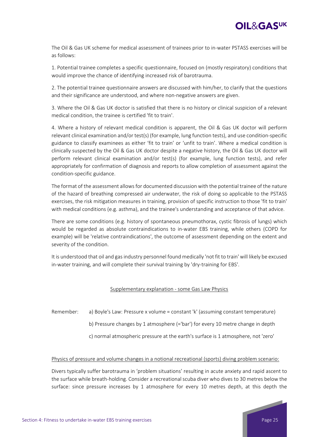

The Oil & Gas UK scheme for medical assessment of trainees prior to in‐water PSTASS exercises will be as follows:

1. Potential trainee completes a specific questionnaire, focused on (mostly respiratory) conditions that would improve the chance of identifying increased risk of barotrauma.

2. The potential trainee questionnaire answers are discussed with him/her, to clarify that the questions and their significance are understood, and where non‐negative answers are given.

3. Where the Oil & Gas UK doctor is satisfied that there is no history or clinical suspicion of a relevant medical condition, the trainee is certified 'fit to train'.

4. Where a history of relevant medical condition is apparent, the Oil & Gas UK doctor will perform relevant clinical examination and/or test(s) (for example, lung function tests), and use condition‐specific guidance to classify examinees as either 'fit to train' or 'unfit to train'. Where a medical condition is clinically suspected by the Oil & Gas UK doctor despite a negative history, the Oil & Gas UK doctor will perform relevant clinical examination and/or test(s) (for example, lung function tests), and refer appropriately for confirmation of diagnosis and reports to allow completion of assessment against the condition‐specific guidance.

The format of the assessment allowsfor documented discussion with the potential trainee of the nature of the hazard of breathing compressed air underwater, the risk of doing so applicable to the PSTASS exercises, the risk mitigation measures in training, provision of specific instruction to those 'fit to train' with medical conditions (e.g. asthma), and the trainee's understanding and acceptance of that advice.

There are some conditions (e.g. history of spontaneous pneumothorax, cystic fibrosis of lungs) which would be regarded as absolute contraindications to in‐water EBS training, while others (COPD for example) will be 'relative contraindications', the outcome of assessment depending on the extent and severity of the condition.

It is understood that oil and gas industry personnel found medically 'not fit to train' will likely be excused in‐water training, and will complete their survival training by 'dry‐training for EBS'.

### Supplementary explanation ‐ some Gas Law Physics

- Remember: a) Boyle's Law: Pressure x volume = constant 'k' (assuming constant temperature)
	- b) Pressure changes by 1 atmosphere (='bar') for every 10 metre change in depth
	- c) normal atmospheric pressure at the earth's surface is 1 atmosphere, not 'zero'

#### Physics of pressure and volume changes in a notional recreational (sports) diving problem scenario:

Divers typically suffer barotrauma in 'problem situations' resulting in acute anxiety and rapid ascent to the surface while breath‐holding. Consider a recreational scuba diver who dives to 30 metres below the surface: since pressure increases by 1 atmosphere for every 10 metres depth, at this depth the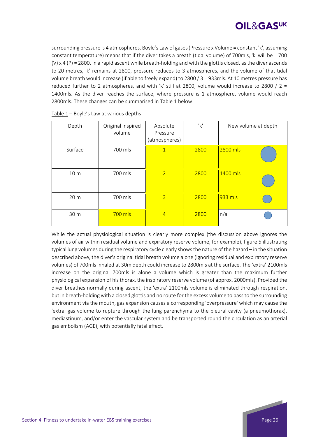

surrounding pressure is 4 atmospheres. Boyle's Law of gases(Pressure x Volume = constant 'k', assuming constant temperature) means that if the diver takes a breath (tidal volume) of 700mls, 'k' will be = 700 (V) x 4 (P) = 2800. In a rapid ascent while breath-holding and with the glottis closed, as the diver ascends to 20 metres, 'k' remains at 2800, pressure reduces to 3 atmospheres, and the volume of that tidal volume breath would increase (if able to freely expand) to 2800 / 3 = 933mls. At 10 metres pressure has reduced further to 2 atmospheres, and with 'k' still at 2800, volume would increase to 2800 /  $2 =$ 1400mls. As the diver reaches the surface, where pressure is 1 atmosphere, volume would reach 2800mls. These changes can be summarised in Table 1 below:

| Depth           | Original inspired<br>volume | Absolute<br>Pressure<br>(atmospheres) | 'k'  | New volume at depth |
|-----------------|-----------------------------|---------------------------------------|------|---------------------|
| Surface         | 700 mls                     | $\mathbf{1}$                          | 2800 | 2800 mls            |
| 10 <sub>m</sub> | 700 mls                     | $\overline{2}$                        | 2800 | 1400 mls            |
| 20 <sub>m</sub> | 700 mls                     | $\overline{3}$                        | 2800 | 933 mls             |
| 30 m            | 700 mls                     | $\overline{4}$                        | 2800 | n/a                 |

| Table $1$ – Boyle's Law at various depths |  |
|-------------------------------------------|--|
|-------------------------------------------|--|

While the actual physiological situation is clearly more complex (the discussion above ignores the volumes of air within residual volume and expiratory reserve volume, for example), figure 5 illustrating typical lung volumes during the respiratory cycle clearly showsthe nature of the hazard – in the situation described above, the diver's original tidal breath volume alone (ignoring residual and expiratory reserve volumes) of 700mls inhaled at 30m depth could increase to 2800mls at the surface. The 'extra' 2100mls increase on the original 700mls is alone a volume which is greater than the maximum further physiological expansion of histhorax, the inspiratory reserve volume (of approx. 2000mls). Provided the diver breathes normally during ascent, the 'extra' 2100mls volume is eliminated through respiration, but in breath‐holding with a closed glottis and no route for the excess volume to passto the surrounding environment via the mouth, gas expansion causes a corresponding 'overpressure' which may cause the 'extra' gas volume to rupture through the lung parenchyma to the pleural cavity (a pneumothorax), mediastinum, and/or enter the vascular system and be transported round the circulation as an arterial gas embolism (AGE), with potentially fatal effect.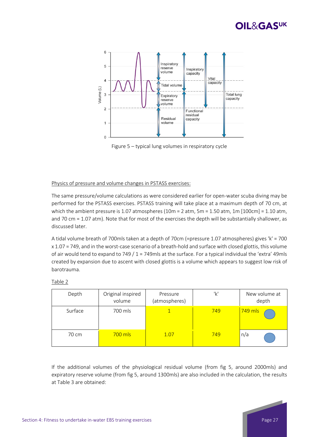

Figure 5 – typical lung volumes in respiratory cycle

### Physics of pressure and volume changes in PSTASS exercises:

The same pressure/volume calculations as were considered earlier for open‐water scuba diving may be performed for the PSTASS exercises. PSTASS training will take place at a maximum depth of 70 cm, at which the ambient pressure is 1.07 atmospheres (10m = 2 atm, 5m = 1.50 atm, 1m [100cm] = 1.10 atm, and 70 cm = 1.07 atm). Note that for most of the exercises the depth will be substantially shallower, as discussed later.

A tidal volume breath of 700mls taken at a depth of 70cm (=pressure 1.07 atmospheres) gives 'k' = 700 x 1.07 = 749, and in the worst‐case scenario of a breath‐hold and surface with closed glottis, this volume of air would tend to expand to 749 / 1 = 749mls at the surface. For a typical individual the 'extra' 49mls created by expansion due to ascent with closed glottis is a volume which appears to suggest low risk of barotrauma.

| Depth   | Original inspired<br>volume | Pressure<br>(atmospheres) | 'k' | New volume at<br>depth |
|---------|-----------------------------|---------------------------|-----|------------------------|
| Surface | 700 mls                     |                           | 749 | $749$ mls              |
| 70 cm   | 700 mls                     | 1.07                      | 749 | n/a                    |

If the additional volumes of the physiological residual volume (from fig 5, around 2000mls) and expiratory reserve volume (from fig 5, around 1300mls) are also included in the calculation, the results





at Table 3 are obtained:

Table 2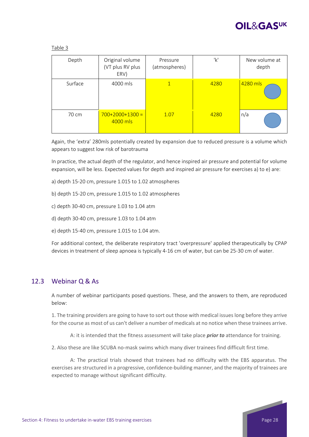

| Depth   | Original volume<br>(VT plus RV plus<br>ERV) | Pressure<br>(atmospheres) | 'k'  | New volume at<br>depth |
|---------|---------------------------------------------|---------------------------|------|------------------------|
| Surface | 4000 mls                                    | $\mathbf{1}$              | 4280 | 4280 mls               |
| 70 cm   | $700+2000+1300=$<br>4000 mls                | 1.07                      | 4280 | n/a                    |

Again, the 'extra' 280mls potentially created by expansion due to reduced pressure is a volume which appears to suggest low risk of barotrauma

In practice, the actual depth of the regulator, and hence inspired air pressure and potential for volume expansion, will be less. Expected values for depth and inspired air pressure for exercises a) to e) are:

- a) depth 15‐20 cm, pressure 1.015 to 1.02 atmospheres
- b) depth 15‐20 cm, pressure 1.015 to 1.02 atmospheres
- c) depth 30‐40 cm, pressure 1.03 to 1.04 atm
- d) depth 30‐40 cm, pressure 1.03 to 1.04 atm
- e) depth 15‐40 cm, pressure 1.015 to 1.04 atm.

For additional context, the deliberate respiratory tract 'overpressure' applied therapeutically by CPAP devices in treatment of sleep apnoea is typically 4‐16 cm of water, but can be 25‐30 cm of water.

### 12.3 Webinar Q & As

Table 3

A number of webinar participants posed questions. These, and the answers to them, are reproduced below:

1. The training providers are going to have to sort out those with medical issues long before they arrive for the course as most of us can't deliver a number of medicals at no notice when these trainees arrive.

A: it is intended that the fitness assessment will take place *prior to* attendance for training.

2. Also these are like SCUBA no-mask swims which many diver trainees find difficult first time.

A: The practical trials showed that trainees had no difficulty with the EBS apparatus. The exercises are structured in a progressive, confidence‐building manner, and the majority of trainees are expected to manage without significant difficulty.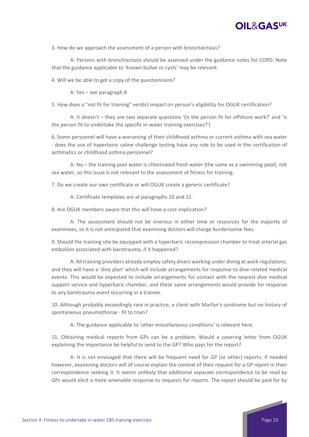

3. How do we approach the assessment of a person with bronchiectasis?

A: Persons with bronchiectasis should be assessed under the guidance notes for COPD. Note that the guidance applicable to 'known bullae or cysts' may be relevant.

4. Will we be able to get a copy of the questionnaire?

A: Yes – see paragraph 8

5. How does a "not fit for training" verdict impact on person's eligibility for OGUK certification?

A: It doesn't – they are two separate questions '(is the person fit for offshore work?' and 'is the person fit to undertake the specific in-water training exercises?')

6. Some personnel will have a worsening of their childhood asthma or current asthma with sea water ‐ does the use of hypertonic saline challenge testing have any role to be used in the certification of asthmatics or childhood asthma personnel?

A: No – the training pool water is chlorinated fresh water (the same as a swimming pool), not sea water, so this issue is not relevant to the assessment of fitness for training.

7. Do we create our own certificate or will OGUK create a generic certificate?

A: Certificate templates are at paragraphs 10 and 11.

8. Are OGUK members aware that this will have a cost implication?

A: The assessment should not be onerous in either time or resources for the majority of examinees, so it is not anticipated that examining doctors will charge burdensome fees.

9. Should the training site be equipped with a hyperbaric recompression chamber to treat arterial gas embolism associated with barotrauma, if it happened?

A: All training providers already employ safety divers working under diving at work regulations, and they will have a 'dive plan' which will include arrangements for response to dive-related medical events. This would be expected to include arrangements for contact with the nearest dive medical support service and hyperbaric chamber, and these same arrangements would provide for response to any barotrauma event occurring in a trainee.

10. Although probably exceedingly rare in practice, a client with Marfan's syndrome but no history of spontaneous pneumothorax ‐ fit to train?

A: The guidance applicable to 'other miscellaneous conditions' is relevant here.

11. Obtaining medical reports from GPs can be a problem. Would a covering letter from OGUK explaining the importance be helpful to send to the GP? Who pays for the report?

A: It is not envisaged that there will be frequent need for GP (or other) reports. If needed however, examining doctors will of course explain the context of their request for a GP report in their correspondence seeking it. It seems unlikely that additional separate correspondence to be read by GPs would elicit a more amenable response to requests for reports. The report should be paid for by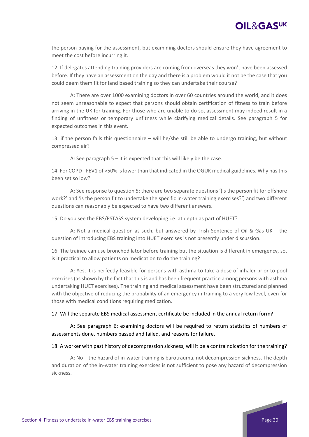the person paying for the assessment, but examining doctors should ensure they have agreement to meet the cost before incurring it.

12. If delegates attending training providers are coming from overseas they won't have been assessed before. If they have an assessment on the day and there is a problem would it not be the case that you could deem them fit for land based training so they can undertake their course?

A: There are over 1000 examining doctors in over 60 countries around the world, and it does not seem unreasonable to expect that persons should obtain certification of fitness to train before arriving in the UK for training. For those who are unable to do so, assessment may indeed result in a finding of unfitness or temporary unfitness while clarifying medical details. See paragraph 5 for expected outcomes in this event.

13. if the person fails this questionnaire – will he/she still be able to undergo training, but without compressed air?

A: See paragraph 5 – it is expected that this will likely be the case.

14. For COPD ‐ FEV1 of >50% is lower than that indicated in the OGUK medical guidelines. Why has this been set so low?

A: See response to question 5: there are two separate questions '(is the person fit for offshore work?' and 'is the person fit to undertake the specific in-water training exercises?') and two different questions can reasonably be expected to have two different answers.

15. Do you see the EBS/PSTASS system developing i.e. at depth as part of HUET?

A: Not a medical question as such, but answered by Trish Sentence of Oil & Gas UK – the question of introducing EBS training into HUET exercises is not presently under discussion.

16. The trainee can use bronchodilator before training but the situation is different in emergency, so, is it practical to allow patients on medication to do the training?

A: Yes, it is perfectly feasible for persons with asthma to take a dose of inhaler prior to pool exercises (as shown by the fact that this is and has been frequent practice among persons with asthma undertaking HUET exercises). The training and medical assessment have been structured and planned with the objective of reducing the probability of an emergency in training to a very low level, even for those with medical conditions requiring medication.

### 17. Will the separate EBS medical assessment certificate be included in the annual return form?

A: See paragraph 6: examining doctors will be required to return statistics of numbers of assessments done, numbers passed and failed, and reasons for failure.

#### 18. A worker with past history of decompression sickness, will it be a contraindication for the training?

A: No – the hazard of in‐water training is barotrauma, not decompression sickness. The depth and duration of the in‐water training exercises is not sufficient to pose any hazard of decompression sickness.